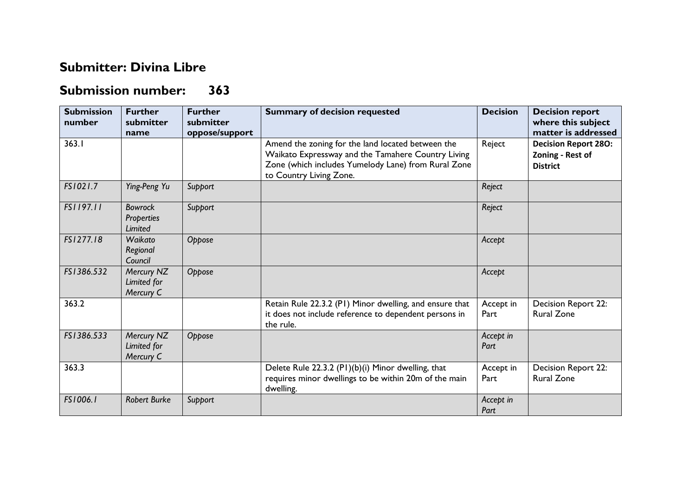## **Submitter: Divina Libre**

## **Submission number: 363**

| <b>Submission</b><br>number | <b>Further</b><br>submitter                    | <b>Further</b><br>submitter | <b>Summary of decision requested</b>                                                                                                                                                      | <b>Decision</b>   | <b>Decision report</b><br>where this subject                       |
|-----------------------------|------------------------------------------------|-----------------------------|-------------------------------------------------------------------------------------------------------------------------------------------------------------------------------------------|-------------------|--------------------------------------------------------------------|
|                             | name                                           | oppose/support              |                                                                                                                                                                                           |                   | matter is addressed                                                |
| 363.1                       |                                                |                             | Amend the zoning for the land located between the<br>Waikato Expressway and the Tamahere Country Living<br>Zone (which includes Yumelody Lane) from Rural Zone<br>to Country Living Zone. | Reject            | <b>Decision Report 280:</b><br>Zoning - Rest of<br><b>District</b> |
| FS1021.7                    | Ying-Peng Yu                                   | Support                     |                                                                                                                                                                                           | Reject            |                                                                    |
| FS1197.11                   | <b>Bowrock</b><br><b>Properties</b><br>Limited | Support                     |                                                                                                                                                                                           | Reject            |                                                                    |
| FS1277.18                   | Waikato<br>Regional<br>Council                 | Oppose                      |                                                                                                                                                                                           | Accept            |                                                                    |
| FS1386.532                  | Mercury NZ<br>Limited for<br>Mercury C         | Oppose                      |                                                                                                                                                                                           | Accept            |                                                                    |
| 363.2                       |                                                |                             | Retain Rule 22.3.2 (P1) Minor dwelling, and ensure that<br>it does not include reference to dependent persons in<br>the rule.                                                             | Accept in<br>Part | <b>Decision Report 22:</b><br><b>Rural Zone</b>                    |
| FS1386.533                  | Mercury NZ<br>Limited for<br>Mercury C         | Oppose                      |                                                                                                                                                                                           | Accept in<br>Part |                                                                    |
| 363.3                       |                                                |                             | Delete Rule 22.3.2 (PI)(b)(i) Minor dwelling, that<br>requires minor dwellings to be within 20m of the main<br>dwelling.                                                                  | Accept in<br>Part | Decision Report 22:<br><b>Rural Zone</b>                           |
| FS1006.1                    | <b>Robert Burke</b>                            | Support                     |                                                                                                                                                                                           | Accept in<br>Part |                                                                    |